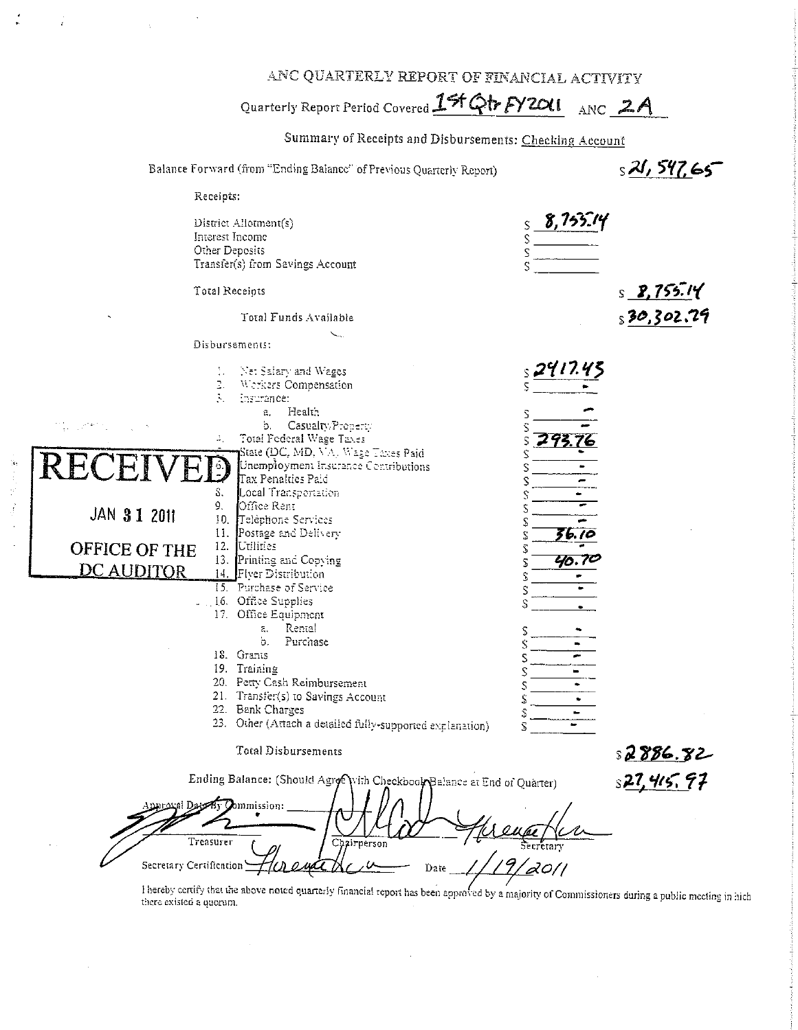ANC QUARTERLY REPORT OF FINANCIAL ACTIVITY

Quarterly Report Period Covered 15t Qtr FY 2011 ANC 2A

Summary of Receipts and Disbursements: Checking Account

 $s21,547.65$ Balance Forward (from "Ending Balance" of Previous Quarterly Report) Receipts:  $8.755.14$ District Allotment(s) Interest Income Other Deposits Transfer(s) from Savings Account Total Receipts  $S$  **2.755.14** Total Funds Available  $$30,302$ Disbursements:

Net Salary and Wages Ğ. Werkers Compensation Ä. insurance: a. Health Casualty Property Ъ. 4, Total Federal Wage Taxes 29. ς State (DC, MD, VA). Wage Taxes Paid S Unempioyment Insurance Contributions Tax Penalties Paid Ŝ. Local Transportation Office Rent 9. JAN 31 2011 10. Telephone Services S Postage and Delivery  $6.10$  $\mathbf{11}$ . S **OFFICE OF THE** 12. Utilities S 70. TC 13. Printing and Copying S **DC AUDITOR** 14. Flver Distribution S 15. Purchase of Service S 16. Office Supplies S 17. Office Equipment Rental ā, S Purchase b. Ś 18. Grants Ś 19. Training  $\hat{\varsigma}$ 20. Petty Cash Reimbursement S 21. Transfer(s) to Savings Account S 22. Bank Charges Ŝ 23. Other (Attach a detailed fully-supported explanation)  $\bar{\mathbf{x}}$ **Total Disbursements** 

Ending Balance: (Should Agree With Checkbook Balance at End of Quarter) s**27,415,97** oval Dage By Commission: Treasurer Chairnerson Secretary Certification Date

I hereby certify that the above noted quarterly financial report has been approved by a majority of Commissioners during a public meeting in hich there existed a quorum.

s **2886.82**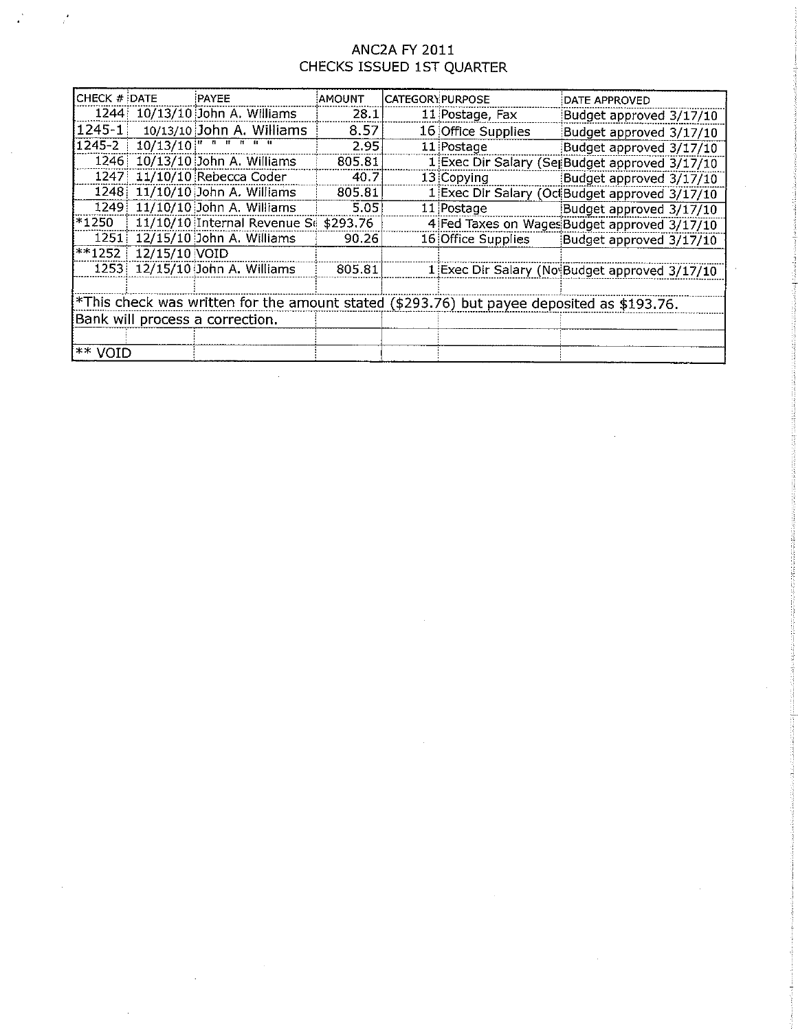## ANC2A FY 2011 CHECKS ISSUED 1ST QUARTER

 $\frac{1}{4}$ 

 $\mathcal{I}$ 

| CHECK # DATE                                                                              |                 | PAYEE                                                                                          | AMOUNT | <b>CATEGORY PURPOSE</b> |                    | DATE APPROVED                                  |  |
|-------------------------------------------------------------------------------------------|-----------------|------------------------------------------------------------------------------------------------|--------|-------------------------|--------------------|------------------------------------------------|--|
|                                                                                           |                 | 1244 10/13/10 John A. Williams                                                                 | 28.1   |                         | 11 Postage, Fax    | Budget approved 3/17/10                        |  |
| $1245 - 1$                                                                                |                 | 10/13/10 John A. Williams                                                                      | 8.57   |                         | 16 Office Supplies | Budget approved 3/17/10                        |  |
| $1245 - 2$                                                                                |                 | $10/13/10$ <sup>11</sup> <sup>11</sup> <sup>11</sup> <sup>11</sup> <sup>11</sup> <sup>11</sup> | 2.95   |                         | 11 Postage         | Budget approved 3/17/10                        |  |
|                                                                                           |                 | 1246 10/13/10 John A. Williams                                                                 | 805.81 |                         |                    | 1 Exec Dir Salary (Sei Budget approved 3/17/10 |  |
|                                                                                           |                 | 1247 11/10/10 Rebecca Coder                                                                    | 40.7   |                         | 13 Copying         | Budget approved 3/17/10                        |  |
| 1248                                                                                      |                 | 11/10/10 John A. Williams                                                                      | 805.81 |                         |                    | 1 Exec Dir Salary (Oc Budget approved 3/17/10  |  |
|                                                                                           |                 | 1249 11/10/10 John A. Williams                                                                 | 5.05   |                         | 11 Postage         | Budget approved 3/17/10                        |  |
|                                                                                           |                 | *1250   11/10/10 Internal Revenue Se \$293.76                                                  |        |                         |                    | 4 Fed Taxes on Wages Budget approved 3/17/10   |  |
|                                                                                           |                 | 1251 12/15/10 John A. Williams                                                                 | 90.26  |                         | 16 Office Supplies | Budget approved 3/17/10                        |  |
| $*1252$                                                                                   | $12/15/10$ VOID |                                                                                                |        |                         |                    |                                                |  |
|                                                                                           |                 | 1253 12/15/10 John A. Williams                                                                 | 805.81 |                         |                    | 1 Exec Dir Salary (No Budget approved 3/17/10  |  |
|                                                                                           |                 |                                                                                                |        |                         |                    |                                                |  |
| *This check was written for the amount stated (\$293.76) but payee deposited as \$193.76. |                 |                                                                                                |        |                         |                    |                                                |  |
| Bank will process a correction.                                                           |                 |                                                                                                |        |                         |                    |                                                |  |
|                                                                                           |                 |                                                                                                |        |                         |                    |                                                |  |
| l∗∗ void                                                                                  |                 |                                                                                                |        |                         |                    |                                                |  |